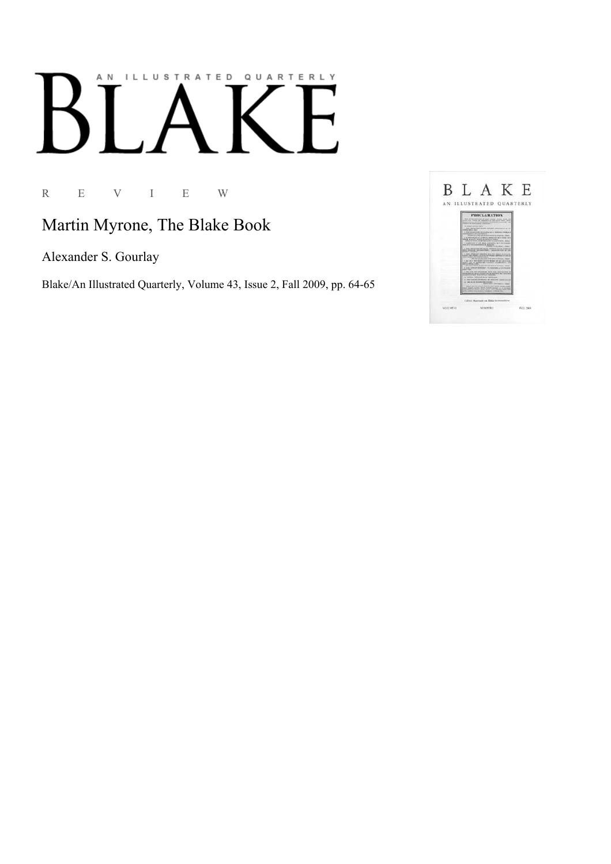## AN ILLUSTRATED QUARTERLY

R E V I E W

## Martin Myrone, The Blake Book

Alexander S. Gourlay

Blake/An Illustrated Quarterly, Volume 43, Issue 2, Fall 2009, pp. 64-65

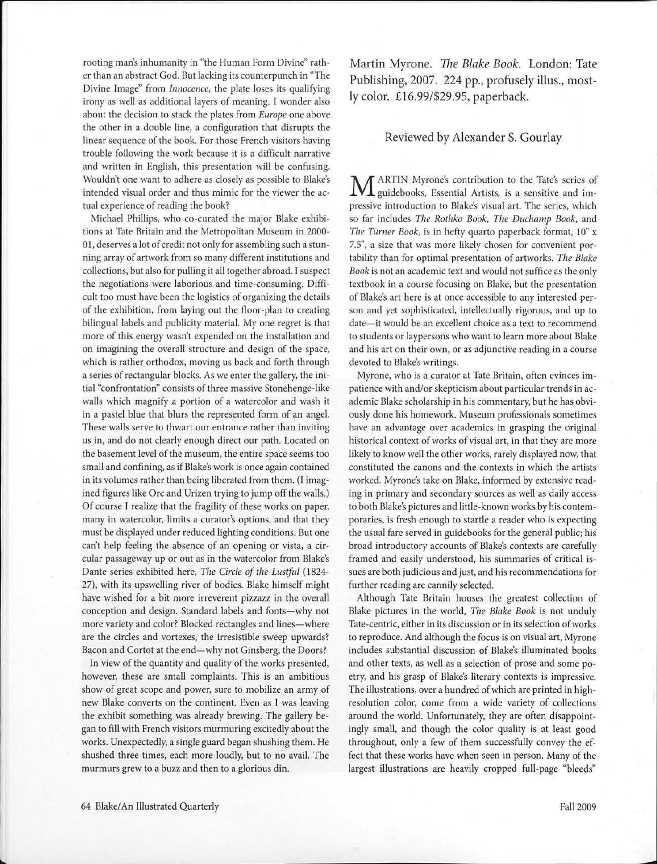rooting man's inhumanity in "the Human Form Divine" rather than an abstract God. But lacking its counterpunch in "The Divine Image" from *Innocence,* the plate loses its qualifying irony as well as additional layers of meaning. I wonder also about the decision to stack the plates from *Europe* one above the other in a double line, a configuration that disrupts the linear sequence of the book. For those French visitors having trouble following the work because it is a difficult narrative and written in English, this presentation will be confusing. Wouldn't one want to adhere as closely as possible to Blake's intended visual order and thus mimic for the viewer the actual experience of reading the book?

Michael Phillips, who co-curated the major Blake exhibitions at Tate Britain and the Metropolitan Museum in 2000- 01, deserves a lot of credit not only for assembling such a stunning array of artwork from so many different institutions and collections, but also for pulling it all together abroad. I suspect the negotiations were laborious and time-consuming. Difficult too must have been the logistics of organizing the details of the exhibition, from laying out the floor-plan to creating bilingual labels and publicity material. My one regret is that more of this energy wasn't expended on the installation and on imagining the overall structure and design of the space, which is rather orthodox, moving us back and forth through a series of rectangular blocks. As we enter the gallery, the initial "confrontation'' consists of three massive Stonehenge-like walls which magnify a portion of a watercolor and wash it in a pastel blue that blurs the represented form of an angel. These walls serve to thwart our entrance rather than inviting us in, and do not clearly enough direct our path. Located on the basement level of the museum, the entire space seems too small and confining, as if Blake's work is once again contained in its volumes rather than being liberated from them. (I imagined figures like Ore and Urizen trying to jump off the walls.) Of course I realize that the fragility of these works on paper, many in watercolor, limits a curator's options, and that they must be displayed under reduced lighting conditions. But one can't help feeling the absence of an opening or vista, a circular passageway up or out as in the watercolor from Blake's Dante series exhibited here, *The Circle of the Lustful* (1824- 27), with its upswelling river of bodies. Blake himself might have wished for a bit more irreverent pizzazz in the overall conception and design. Standard labels and fonts-why not more variety and color? Blocked rectangles and lines-where are the circles and vortexes, the irresistible sweep upwards? Bacon and Cortot at the end-why not Ginsberg, the Doors?

In view of the quantity and quality of the works presented, however, these are small complaints. This is an ambitious show of great scope and power, sure to mobilize an army of new Blake converts on the continent. Even as I was leaving the exhibit something was already brewing. The gallery began to fill with French visitors murmuring excitedly about the works. Unexpectedly, a single guard began shushing them. He shushed three times, each more loudly, but to no avail. The murmurs grew to a buzz and then to a glorious din.

Martin Myrone. *The Blake Book.* London: Tate Publishing, 2007. 224 pp., profusely illus., mostly color. £16.99/\$29.95, paperback.

## Reviewed by Alexander S. Gourlay

M ARTIN Myrone's contribution to the Tate's series of guidebooks, Essential Artists, is a sensitive and impressive introduction to Blake's visual art. The series, which so far includes *The Rothko Book, The Duchamp Book,* and *The Turner Book,* is in hefty quarto paperback format, 10" x 7.5", a size that was more likely chosen for convenient portability than for optimal presentation of artworks. *The Blake Book* is not an academic text and would not suffice as the only textbook in a course focusing on Blake, but the presentation of Blake's art here is at once accessible to any interested person and yet sophisticated, intellectually rigorous, and up to date-it would be an excellent choice as a text to recommend to students or laypersons who want to learn more about Blake and his art on their own, or as adjunctive reading in a course devoted to Blake's writings.

Myrone, who is a curator at Tate Britain, often evinces impatience with and/or skepticism about particular trends in academic Blake scholarship in his commentary, but he has obviously done his homework. Museum professionals sometimes have an advantage over academics in grasping the original historical context of works of visual art, in that they are more likely to know well the other works, rarely displayed now, that constituted the canons and the contexts in which the artists worked. Myrone's take on Blake, informed by extensive reading in primary and secondary sources as well as daily access to both Blake's pictures and little-known works by his contemporaries, is fresh enough to startle a reader who is expecting the usual fare served in guidebooks for the general public; his broad introductory accounts of Blake's contexts are carefully framed and easily understood, his summaries of critical issues are both judicious and just, and his recommendations for further reading are cannily selected.

Although Tate Britain houses the greatest collection of Blake pictures in the world, *The Blake Book* is not unduly Tate-centric, either in its discussion or in its selection of works to reproduce. And although the focus is on visual art, Myrone includes substantial discussion of Blake's illuminated books and other texts, as well as a selection of prose and some poetry, and his grasp of Blake's literary contexts is impressive. The illustrations, over a hundred of which are printed in highresolution color, come from a wide variety of collections around the world. Unfortunately, they are often disappointingly small, and though the color quality is at least good throughout, only a few of them successfully convey the effect that these works have when seen in person. Many of the largest illustrations are heavily cropped full-page "bleeds"